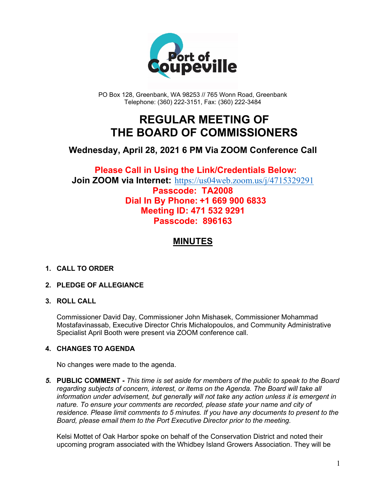

PO Box 128, Greenbank, WA 98253 // 765 Wonn Road, Greenbank Telephone: (360) 222-3151, Fax: (360) 222-3484

## **REGULAR MEETING OF THE BOARD OF COMMISSIONERS**

## **Wednesday, April 28, 2021 6 PM Via ZOOM Conference Call**

### **Please Call in Using the Link/Credentials Below: Join ZOOM via Internet:** <https://us04web.zoom.us/j/4715329291> **Passcode: TA2008 Dial In By Phone: +1 669 900 6833 Meeting ID: 471 532 9291 Passcode: 896163**

## **MINUTES**

#### **1. CALL TO ORDER**

#### **2. PLEDGE OF ALLEGIANCE**

#### **3. ROLL CALL**

Commissioner David Day, Commissioner John Mishasek, Commissioner Mohammad Mostafavinassab, Executive Director Chris Michalopoulos, and Community Administrative Specialist April Booth were present via ZOOM conference call.

#### **4. CHANGES TO AGENDA**

No changes were made to the agenda.

*5.* **PUBLIC COMMENT -** *This time is set aside for members of the public to speak to the Board regarding subjects of concern, interest, or items on the Agenda. The Board will take all information under advisement, but generally will not take any action unless it is emergent in nature. To ensure your comments are recorded, please state your name and city of residence. Please limit comments to 5 minutes. If you have any documents to present to the Board, please email them to the Port Executive Director prior to the meeting.*

Kelsi Mottet of Oak Harbor spoke on behalf of the Conservation District and noted their upcoming program associated with the Whidbey Island Growers Association. They will be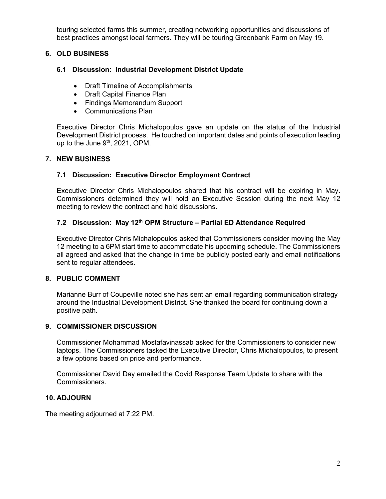touring selected farms this summer, creating networking opportunities and discussions of best practices amongst local farmers. They will be touring Greenbank Farm on May 19.

#### **6. OLD BUSINESS**

#### **6.1 Discussion: Industrial Development District Update**

- Draft Timeline of Accomplishments
- Draft Capital Finance Plan
- Findings Memorandum Support
- Communications Plan

Executive Director Chris Michalopoulos gave an update on the status of the Industrial Development District process. He touched on important dates and points of execution leading up to the June  $9<sup>th</sup>$ , 2021, OPM.

#### **7. NEW BUSINESS**

#### **7.1 Discussion: Executive Director Employment Contract**

Executive Director Chris Michalopoulos shared that his contract will be expiring in May. Commissioners determined they will hold an Executive Session during the next May 12 meeting to review the contract and hold discussions.

#### **7.2 Discussion: May 12th OPM Structure – Partial ED Attendance Required**

Executive Director Chris Michalopoulos asked that Commissioners consider moving the May 12 meeting to a 6PM start time to accommodate his upcoming schedule. The Commissioners all agreed and asked that the change in time be publicly posted early and email notifications sent to regular attendees.

#### **8. PUBLIC COMMENT**

Marianne Burr of Coupeville noted she has sent an email regarding communication strategy around the Industrial Development District. She thanked the board for continuing down a positive path.

#### **9. COMMISSIONER DISCUSSION**

Commissioner Mohammad Mostafavinassab asked for the Commissioners to consider new laptops. The Commissioners tasked the Executive Director, Chris Michalopoulos, to present a few options based on price and performance.

Commissioner David Day emailed the Covid Response Team Update to share with the Commissioners.

#### **10. ADJOURN**

The meeting adjourned at 7:22 PM.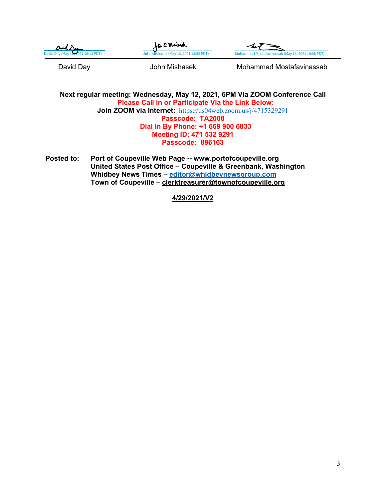| $\Delta$ wid $\Delta$              | La S. Michege                          |                                                   |
|------------------------------------|----------------------------------------|---------------------------------------------------|
| David Day (May 16, 2021 10:13 PDT) | John Mishasek (May 16, 2021 13:52 PDT) | Mohammad Mostafavinassab (May 16, 2021 19:08 PDT) |
|                                    |                                        |                                                   |

David Day **Communist Communist Communist Communist Communist Communist Communist Communist Communist Communist Communist Communist Communist Communist Communist Communist Communist Communist Communist Communist Communist C** 

**Next regular meeting: Wednesday, May 12, 2021, 6PM Via ZOOM Conference Call Please Call in or Participate Via the Link Below: Join ZOOM via Internet:** <https://us04web.zoom.us/j/4715329291> **Passcode: TA2008 Dial In By Phone: +1 669 900 6833 Meeting ID: 471 532 9291 Passcode: 896163**

**Posted to: Port of Coupeville Web Page -- www.portofcoupeville.org United States Post Office – Coupeville & Greenbank, Washington Whidbey News Times – [editor@whidbeynewsgroup.com](mailto:editor@whidbeynewsgroup.com) Town of Coupeville – [clerktreasurer@townofcoupeville.org](mailto:clerktreasurer@townofcoupeville.org)**

**4/29/2021/V2**